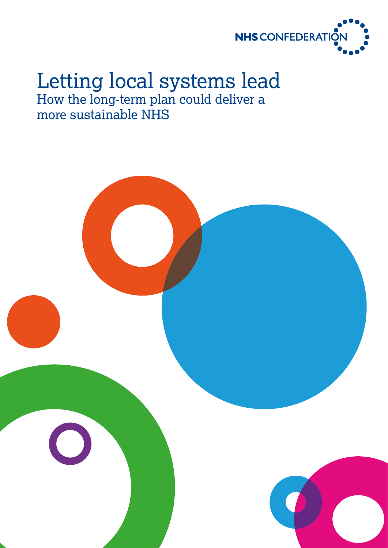

# Letting local systems lead How the long-term plan could deliver a more sustainable NHS

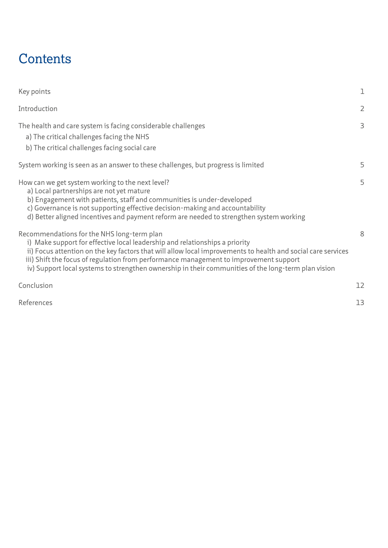# **Contents**

| Key points                                                                                                                                                                                                                                                                                                                                                                                                                                | ı              |
|-------------------------------------------------------------------------------------------------------------------------------------------------------------------------------------------------------------------------------------------------------------------------------------------------------------------------------------------------------------------------------------------------------------------------------------------|----------------|
| Introduction                                                                                                                                                                                                                                                                                                                                                                                                                              | $\overline{2}$ |
| The health and care system is facing considerable challenges<br>a) The critical challenges facing the NHS<br>b) The critical challenges facing social care                                                                                                                                                                                                                                                                                | 3              |
| System working is seen as an answer to these challenges, but progress is limited                                                                                                                                                                                                                                                                                                                                                          | 5              |
| How can we get system working to the next level?<br>a) Local partnerships are not yet mature<br>b) Engagement with patients, staff and communities is under-developed<br>c) Governance is not supporting effective decision-making and accountability<br>d) Better aligned incentives and payment reform are needed to strengthen system working                                                                                          | 5              |
| Recommendations for the NHS long-term plan<br>i) Make support for effective local leadership and relationships a priority<br>ii) Focus attention on the key factors that will allow local improvements to health and social care services<br>iii) Shift the focus of regulation from performance management to improvement support<br>iv) Support local systems to strengthen ownership in their communities of the long-term plan vision | 8              |
| Conclusion                                                                                                                                                                                                                                                                                                                                                                                                                                | 12             |
| References                                                                                                                                                                                                                                                                                                                                                                                                                                | 13             |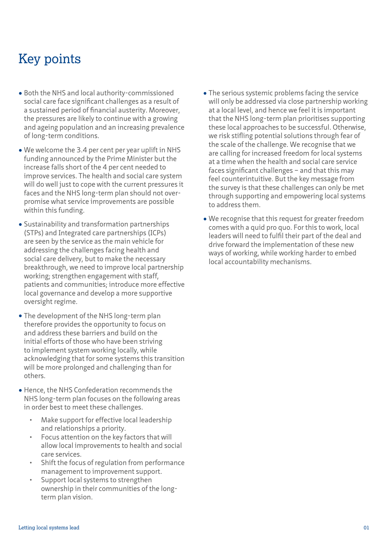# Key points

- **•** Both the NHS and local authority-commissioned social care face significant challenges as a result of a sustained period of financial austerity. Moreover, the pressures are likely to continue with a growing and ageing population and an increasing prevalence of long-term conditions.
- **•** We welcome the 3.4 per cent per year uplift in NHS funding announced by the Prime Minister but the increase falls short of the 4 per cent needed to improve services. The health and social care system will do well just to cope with the current pressures it faces and the NHS long-term plan should not overpromise what service improvements are possible within this funding.
- **•** Sustainability and transformation partnerships (STPs) and Integrated care partnerships (ICPs) are seen by the service as the main vehicle for addressing the challenges facing health and social care delivery, but to make the necessary breakthrough, we need to improve local partnership working; strengthen engagement with staff, patients and communities; introduce more effective local governance and develop a more supportive oversight regime.
- **•** The development of the NHS long-term plan therefore provides the opportunity to focus on and address these barriers and build on the initial efforts of those who have been striving to implement system working locally, while acknowledging that for some systems this transition will be more prolonged and challenging than for others.
- **•** Hence, the NHS Confederation recommends the NHS long-term plan focuses on the following areas in order best to meet these challenges.
	- Make support for effective local leadership and relationships a priority.
	- Focus attention on the key factors that will allow local improvements to health and social care services.
	- Shift the focus of regulation from performance management to improvement support.
	- Support local systems to strengthen ownership in their communities of the longterm plan vision.
- **•** The serious systemic problems facing the service will only be addressed via close partnership working at a local level, and hence we feel it is important that the NHS long-term plan prioritises supporting these local approaches to be successful. Otherwise, we risk stifling potential solutions through fear of the scale of the challenge. We recognise that we are calling for increased freedom for local systems at a time when the health and social care service faces significant challenges – and that this may feel counterintuitive. But the key message from the survey is that these challenges can only be met through supporting and empowering local systems to address them.
- **•** We recognise that this request for greater freedom comes with a quid pro quo. For this to work, local leaders will need to fulfil their part of the deal and drive forward the implementation of these new ways of working, while working harder to embed local accountability mechanisms.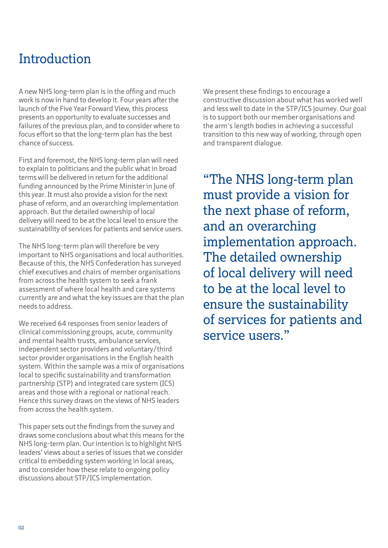# Introduction

A new NHS long-term plan is in the offing and much work is now in hand to develop it. Four years after the launch of the Five Year Forward View, this process presents an opportunity to evaluate successes and failures of the previous plan, and to consider where to focus effort so that the long-term plan has the best chance of success.

First and foremost, the NHS long-term plan will need to explain to politicians and the public what in broad terms will be delivered in return for the additional funding announced by the Prime Minister in June of this year. It must also provide a vision for the next phase of reform, and an overarching implementation approach. But the detailed ownership of local delivery will need to be at the local level to ensure the sustainability of services for patients and service users.

The NHS long-term plan will therefore be very important to NHS organisations and local authorities. Because of this, the NHS Confederation has surveyed chief executives and chairs of member organisations from across the health system to seek a frank assessment of where local health and care systems currently are and what the key issues are that the plan needs to address.

We received 64 responses from senior leaders of clinical commissioning groups, acute, community and mental health trusts, ambulance services, independent sector providers and voluntary/third sector provider organisations in the English health system. Within the sample was a mix of organisations local to specific sustainability and transformation partnership (STP) and integrated care system (ICS) areas and those with a regional or national reach. Hence this survey draws on the views of NHS leaders from across the health system.

This paper sets out the findings from the survey and draws some conclusions about what this means for the NHS long-term plan. Our intention is to highlight NHS leaders' views about a series of issues that we consider critical to embedding system working in local areas, and to consider how these relate to ongoing policy discussions about STP/ICS implementation.

We present these findings to encourage a constructive discussion about what has worked well and less well to date in the STP/ICS journey. Our goal is to support both our member organisations and the arm's length bodies in achieving a successful transition to this new way of working, through open and transparent dialogue.

"The NHS long-term plan must provide a vision for the next phase of reform, and an overarching implementation approach. The detailed ownership of local delivery will need to be at the local level to ensure the sustainability of services for patients and service users."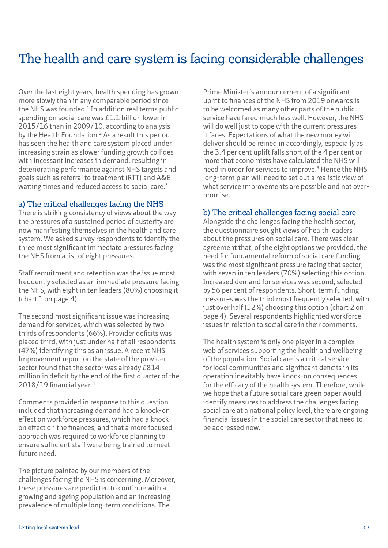### The health and care system is facing considerable challenges

Over the last eight years, health spending has grown more slowly than in any comparable period since the NHS was founded. $1$  In addition real terms public spending on social care was £1.1 billion lower in 2015/16 than in 2009/10, according to analysis by the Health Foundation.<sup>2</sup> As a result this period has seen the health and care system placed under increasing strain as slower funding growth collides with incessant increases in demand, resulting in deteriorating performance against NHS targets and goals such as referral to treatment (RTT) and A&E waiting times and reduced access to social care.<sup>3</sup>

#### a) The critical challenges facing the NHS

There is striking consistency of views about the way the pressures of a sustained period of austerity are now manifesting themselves in the health and care system. We asked survey respondents to identify the three most significant immediate pressures facing the NHS from a list of eight pressures.

Staff recruitment and retention was the issue most frequently selected as an immediate pressure facing the NHS, with eight in ten leaders (80%) choosing it (chart 1 on page 4).

The second most significant issue was increasing demand for services, which was selected by two thirds of respondents (66%). Provider deficits was placed third, with just under half of all respondents (47%) identifying this as an issue. A recent NHS Improvement report on the state of the provider sector found that the sector was already £814 million in deficit by the end of the first quarter of the 2018/19 financial year.4

Comments provided in response to this question included that increasing demand had a knock-on effect on workforce pressures, which had a knockon effect on the finances, and that a more focused approach was required to workforce planning to ensure sufficient staff were being trained to meet future need.

The picture painted by our members of the challenges facing the NHS is concerning. Moreover, these pressures are predicted to continue with a growing and ageing population and an increasing prevalence of multiple long-term conditions. The

Prime Minister's announcement of a significant uplift to finances of the NHS from 2019 onwards is to be welcomed as many other parts of the public service have fared much less well. However, the NHS will do well just to cope with the current pressures it faces. Expectations of what the new money will deliver should be reined in accordingly, especially as the 3.4 per cent uplift falls short of the 4 per cent or more that economists have calculated the NHS will need in order for services to improve.5 Hence the NHS long-term plan will need to set out a realistic view of what service improvements are possible and not overpromise.

#### b) The critical challenges facing social care

Alongside the challenges facing the health sector, the questionnaire sought views of health leaders about the pressures on social care. There was clear agreement that, of the eight options we provided, the need for fundamental reform of social care funding was the most significant pressure facing that sector, with seven in ten leaders (70%) selecting this option. Increased demand for services was second, selected by 56 per cent of respondents. Short-term funding pressures was the third most frequently selected, with just over half (52%) choosing this option (chart 2 on page 4). Several respondents highlighted workforce issues in relation to social care in their comments.

The health system is only one player in a complex web of services supporting the health and wellbeing of the population. Social care is a critical service for local communities and significant deficits in its operation inevitably have knock-on consequences for the efficacy of the health system. Therefore, while we hope that a future social care green paper would identify measures to address the challenges facing social care at a national policy level, there are ongoing financial issues in the social care sector that need to be addressed now.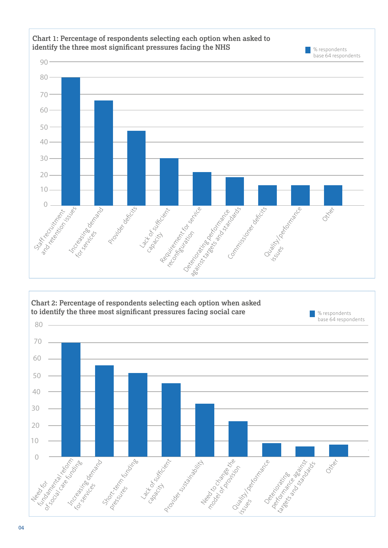



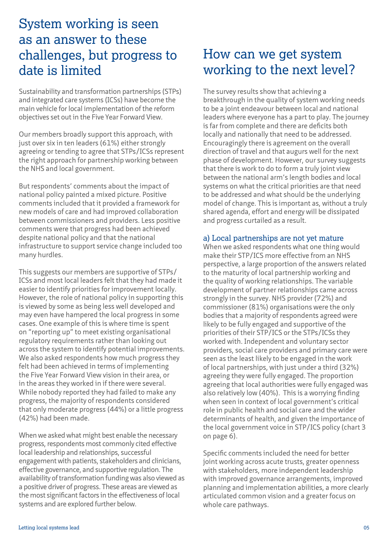## System working is seen as an answer to these challenges, but progress to date is limited

Sustainability and transformation partnerships (STPs) and integrated care systems (ICSs) have become the main vehicle for local implementation of the reform objectives set out in the Five Year Forward View.

Our members broadly support this approach, with just over six in ten leaders (61%) either strongly agreeing or tending to agree that STPs/ICSs represent the right approach for partnership working between the NHS and local government.

But respondents' comments about the impact of national policy painted a mixed picture. Positive comments included that it provided a framework for new models of care and had improved collaboration between commissioners and providers. Less positive comments were that progress had been achieved despite national policy and that the national infrastructure to support service change included too many hurdles.

This suggests our members are supportive of STPs/ ICSs and most local leaders felt that they had made it easier to identify priorities for improvement locally. However, the role of national policy in supporting this is viewed by some as being less well developed and may even have hampered the local progress in some cases. One example of this is where time is spent on "reporting up" to meet existing organisational regulatory requirements rather than looking out across the system to identify potential improvements. We also asked respondents how much progress they felt had been achieved in terms of implementing the Five Year Forward View vision in their area, or in the areas they worked in if there were several. While nobody reported they had failed to make any progress, the majority of respondents considered that only moderate progress (44%) or a little progress (42%) had been made.

When we asked what might best enable the necessary progress, respondents most commonly cited effective local leadership and relationships, successful engagement with patients, stakeholders and clinicians, effective governance, and supportive regulation. The availability of transformation funding was also viewed as a positive driver of progress. These areas are viewed as the most significant factors in the effectiveness of local systems and are explored further below.

## How can we get system working to the next level?

The survey results show that achieving a breakthrough in the quality of system working needs to be a joint endeavour between local and national leaders where everyone has a part to play. The journey is far from complete and there are deficits both locally and nationally that need to be addressed. Encouragingly there is agreement on the overall direction of travel and that augurs well for the next phase of development. However, our survey suggests that there is work to do to form a truly joint view between the national arm's length bodies and local systems on what the critical priorities are that need to be addressed and what should be the underlying model of change. This is important as, without a truly shared agenda, effort and energy will be dissipated and progress curtailed as a result.

#### a) Local partnerships are not yet mature

When we asked respondents what one thing would make their STP/ICS more effective from an NHS perspective, a large proportion of the answers related to the maturity of local partnership working and the quality of working relationships. The variable development of partner relationships came across strongly in the survey. NHS provider (72%) and commissioner (81%) organisations were the only bodies that a majority of respondents agreed were likely to be fully engaged and supportive of the priorities of their STP/ICS or the STPs/ICSs they worked with. Independent and voluntary sector providers, social care providers and primary care were seen as the least likely to be engaged in the work of local partnerships, with just under a third (32%) agreeing they were fully engaged. The proportion agreeing that local authorities were fully engaged was also relatively low (40%). This is a worrying finding when seen in context of local government's critical role in public health and social care and the wider determinants of health, and given the importance of the local government voice in STP/ICS policy (chart 3 on page 6).

Specific comments included the need for better joint working across acute trusts, greater openness with stakeholders, more independent leadership with improved governance arrangements, improved planning and implementation abilities, a more clearly articulated common vision and a greater focus on whole care pathways.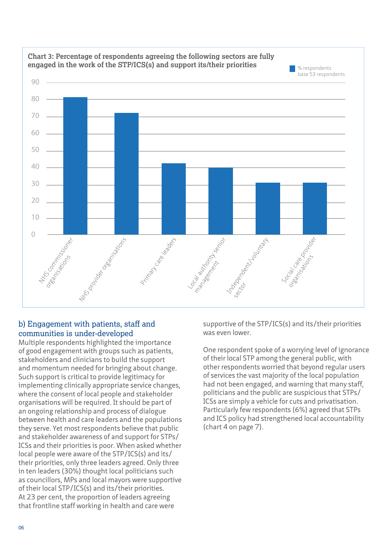

# **Chart 3: Percentage of respondents agreeing the following sectors are fully**

#### b) Engagement with patients, staff and communities is under-developed

Multiple respondents highlighted the importance of good engagement with groups such as patients, stakeholders and clinicians to build the support and momentum needed for bringing about change. Such support is critical to provide legitimacy for implementing clinically appropriate service changes, where the consent of local people and stakeholder organisations will be required. It should be part of an ongoing relationship and process of dialogue between health and care leaders and the populations they serve. Yet most respondents believe that public and stakeholder awareness of and support for STPs/ ICSs and their priorities is poor. When asked whether local people were aware of the STP/ICS(s) and its/ their priorities, only three leaders agreed. Only three in ten leaders (30%) thought local politicians such as councillors, MPs and local mayors were supportive of their local STP/ICS(s) and its/their priorities. At 23 per cent, the proportion of leaders agreeing that frontline staff working in health and care were

supportive of the STP/ICS(s) and its/their priorities was even lower.

One respondent spoke of a worrying level of ignorance of their local STP among the general public, with other respondents worried that beyond regular users of services the vast majority of the local population had not been engaged, and warning that many staff, politicians and the public are suspicious that STPs/ ICSs are simply a vehicle for cuts and privatisation. Particularly few respondents (6%) agreed that STPs and ICS policy had strengthened local accountability (chart 4 on page 7).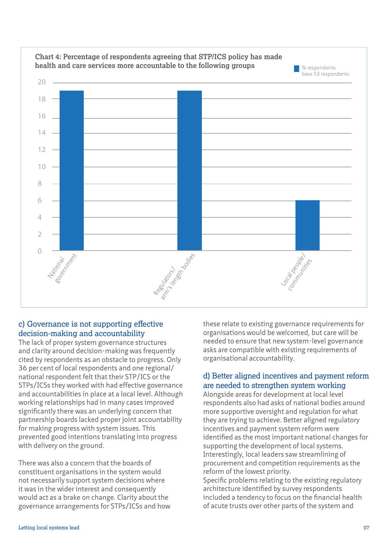

#### c) Governance is not supporting effective decision-making and accountability

The lack of proper system governance structures and clarity around decision-making was frequently cited by respondents as an obstacle to progress. Only 36 per cent of local respondents and one regional/ national respondent felt that their STP/ICS or the STPs/ICSs they worked with had effective governance and accountabilities in place at a local level. Although working relationships had in many cases improved significantly there was an underlying concern that partnership boards lacked proper joint accountability for making progress with system issues. This prevented good intentions translating into progress with delivery on the ground.

There was also a concern that the boards of constituent organisations in the system would not necessarily support system decisions where it was in the wider interest and consequently would act as a brake on change. Clarity about the governance arrangements for STPs/ICSs and how these relate to existing governance requirements for organisations would be welcomed, but care will be needed to ensure that new system-level governance asks are compatible with existing requirements of organisational accountability.

#### d) Better aligned incentives and payment reform are needed to strengthen system working

Alongside areas for development at local level respondents also had asks of national bodies around more supportive oversight and regulation for what they are trying to achieve. Better aligned regulatory incentives and payment system reform were identified as the most important national changes for supporting the development of local systems. Interestingly, local leaders saw streamlining of procurement and competition requirements as the reform of the lowest priority.

Specific problems relating to the existing regulatory architecture identified by survey respondents included a tendency to focus on the financial health of acute trusts over other parts of the system and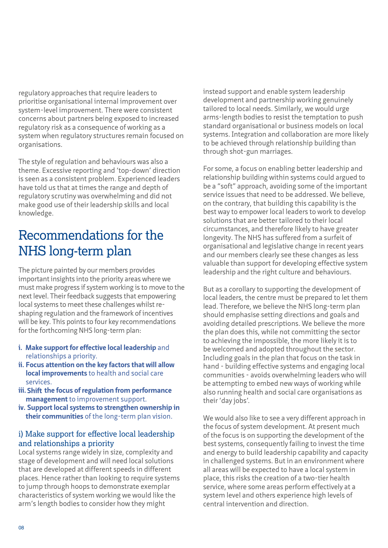regulatory approaches that require leaders to prioritise organisational internal improvement over system-level improvement. There were consistent concerns about partners being exposed to increased regulatory risk as a consequence of working as a system when regulatory structures remain focused on organisations.

The style of regulation and behaviours was also a theme. Excessive reporting and 'top-down' direction is seen as a consistent problem. Experienced leaders have told us that at times the range and depth of regulatory scrutiny was overwhelming and did not make good use of their leadership skills and local knowledge.

# Recommendations for the NHS long-term plan

The picture painted by our members provides important insights into the priority areas where we must make progress if system working is to move to the next level. Their feedback suggests that empowering local systems to meet these challenges whilst reshaping regulation and the framework of incentives will be key. This points to four key recommendations for the forthcoming NHS long-term plan:

- **i.** Make support for effective local leadership and relationships a priority.
- **ii. Focus attention on the key factors that will allow local improvements** to health and social care services.
- **iii. the focus of regulation from performance Shift management** to improvement support.
- **iv. Support local systems to strengthen ownership in their communities** of the long-term plan vision.

#### i) Make support for effective local leadership and relationships a priority

Local systems range widely in size, complexity and stage of development and will need local solutions that are developed at different speeds in different places. Hence rather than looking to require systems to jump through hoops to demonstrate exemplar characteristics of system working we would like the arm's length bodies to consider how they might

instead support and enable system leadership development and partnership working genuinely tailored to local needs. Similarly, we would urge arms-length bodies to resist the temptation to push standard organisational or business models on local systems. Integration and collaboration are more likely to be achieved through relationship building than through shot-gun marriages.

For some, a focus on enabling better leadership and relationship building within systems could argued to be a "soft" approach, avoiding some of the important service issues that need to be addressed. We believe, on the contrary, that building this capability is the best way to empower local leaders to work to develop solutions that are better tailored to their local circumstances, and therefore likely to have greater longevity. The NHS has suffered from a surfeit of organisational and legislative change in recent years and our members clearly see these changes as less valuable than support for developing effective system leadership and the right culture and behaviours.

But as a corollary to supporting the development of local leaders, the centre must be prepared to let them lead. Therefore, we believe the NHS long-term plan should emphasise setting directions and goals and avoiding detailed prescriptions. We believe the more the plan does this, while not committing the sector to achieving the impossible, the more likely it is to be welcomed and adopted throughout the sector. Including goals in the plan that focus on the task in hand - building effective systems and engaging local communities - avoids overwhelming leaders who will be attempting to embed new ways of working while also running health and social care organisations as their 'day jobs'.

We would also like to see a very different approach in the focus of system development. At present much of the focus is on supporting the development of the best systems, consequently failing to invest the time and energy to build leadership capability and capacity in challenged systems. But in an environment where all areas will be expected to have a local system in place, this risks the creation of a two-tier health service, where some areas perform effectively at a system level and others experience high levels of central intervention and direction.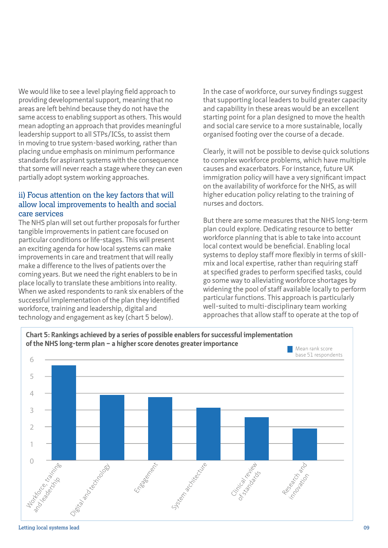We would like to see a level playing field approach to providing developmental support, meaning that no areas are left behind because they do not have the same access to enabling support as others. This would mean adopting an approach that provides meaningful leadership support to all STPs/ICSs, to assist them in moving to true system-based working, rather than placing undue emphasis on minimum performance standards for aspirant systems with the consequence that some will never reach a stage where they can even partially adopt system working approaches.

#### ii) Focus attention on the key factors that will allow local improvements to health and social care services

The NHS plan will set out further proposals for further tangible improvements in patient care focused on particular conditions or life-stages. This will present an exciting agenda for how local systems can make improvements in care and treatment that will really make a difference to the lives of patients over the coming years. But we need the right enablers to be in place locally to translate these ambitions into reality. When we asked respondents to rank six enablers of the successful implementation of the plan they identified workforce, training and leadership, digital and technology and engagement as key (chart 5 below).

In the case of workforce, our survey findings suggest that supporting local leaders to build greater capacity and capability in these areas would be an excellent starting point for a plan designed to move the health and social care service to a more sustainable, locally organised footing over the course of a decade.

Clearly, it will not be possible to devise quick solutions to complex workforce problems, which have multiple causes and exacerbators. For instance, future UK immigration policy will have a very significant impact on the availability of workforce for the NHS, as will higher education policy relating to the training of nurses and doctors.

But there are some measures that the NHS long-term plan could explore. Dedicating resource to better workforce planning that is able to take into account local context would be beneficial. Enabling local systems to deploy staff more flexibly in terms of skillmix and local expertise, rather than requiring staff at specified grades to perform specified tasks, could go some way to alleviating workforce shortages by widening the pool of staff available locally to perform particular functions. This approach is particularly well-suited to multi-disciplinary team working approaches that allow staff to operate at the top of

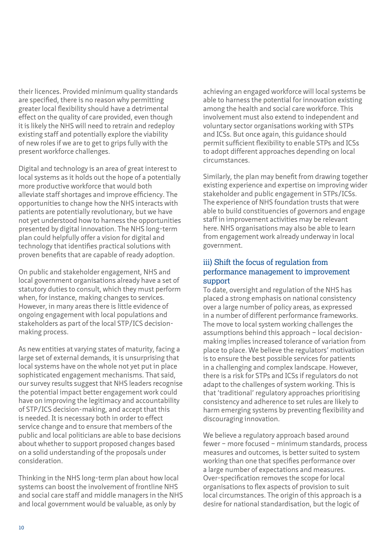their licences. Provided minimum quality standards are specified, there is no reason why permitting greater local flexibility should have a detrimental effect on the quality of care provided, even though it is likely the NHS will need to retrain and redeploy existing staff and potentially explore the viability of new roles if we are to get to grips fully with the present workforce challenges.

Digital and technology is an area of great interest to local systems as it holds out the hope of a potentially more productive workforce that would both alleviate staff shortages and improve efficiency. The opportunities to change how the NHS interacts with patients are potentially revolutionary, but we have not yet understood how to harness the opportunities presented by digital innovation. The NHS long-term plan could helpfully offer a vision for digital and technology that identifies practical solutions with proven benefits that are capable of ready adoption.

On public and stakeholder engagement, NHS and local government organisations already have a set of statutory duties to consult, which they must perform when, for instance, making changes to services. However, in many areas there is little evidence of ongoing engagement with local populations and stakeholders as part of the local STP/ICS decisionmaking process.

As new entities at varying states of maturity, facing a large set of external demands, it is unsurprising that local systems have on the whole not yet put in place sophisticated engagement mechanisms. That said, our survey results suggest that NHS leaders recognise the potential impact better engagement work could have on improving the legitimacy and accountability of STP/ICS decision-making, and accept that this is needed. It is necessary both in order to effect service change and to ensure that members of the public and local politicians are able to base decisions about whether to support proposed changes based on a solid understanding of the proposals under consideration.

Thinking in the NHS long-term plan about how local systems can boost the involvement of frontline NHS and social care staff and middle managers in the NHS and local government would be valuable, as only by

achieving an engaged workforce will local systems be able to harness the potential for innovation existing among the health and social care workforce. This involvement must also extend to independent and voluntary sector organisations working with STPs and ICSs. But once again, this guidance should permit sufficient flexibility to enable STPs and ICSs to adopt different approaches depending on local circumstances.

Similarly, the plan may benefit from drawing together existing experience and expertise on improving wider stakeholder and public engagement in STPs/ICSs. The experience of NHS foundation trusts that were able to build constituencies of governors and engage staff in improvement activities may be relevant here. NHS organisations may also be able to learn from engagement work already underway in local government.

#### iii) Shift the focus of regulation from performance management to improvement support

To date, oversight and regulation of the NHS has placed a strong emphasis on national consistency over a large number of policy areas, as expressed in a number of different performance frameworks. The move to local system working challenges the assumptions behind this approach – local decisionmaking implies increased tolerance of variation from place to place. We believe the regulators' motivation is to ensure the best possible services for patients in a challenging and complex landscape. However, there is a risk for STPs and ICSs if regulators do not adapt to the challenges of system working. This is that 'traditional' regulatory approaches prioritising consistency and adherence to set rules are likely to harm emerging systems by preventing flexibility and discouraging innovation.

We believe a regulatory approach based around fewer – more focused – minimum standards, process measures and outcomes, is better suited to system working than one that specifies performance over a large number of expectations and measures. Over-specification removes the scope for local organisations to flex aspects of provision to suit local circumstances. The origin of this approach is a desire for national standardisation, but the logic of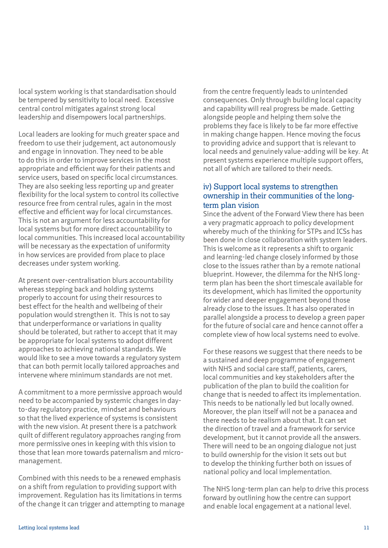local system working is that standardisation should be tempered by sensitivity to local need. Excessive central control mitigates against strong local leadership and disempowers local partnerships.

Local leaders are looking for much greater space and freedom to use their judgement, act autonomously and engage in innovation. They need to be able to do this in order to improve services in the most appropriate and efficient way for their patients and service users, based on specific local circumstances. They are also seeking less reporting up and greater flexibility for the local system to control its collective resource free from central rules, again in the most effective and efficient way for local circumstances. This is not an argument for less accountability for local systems but for more direct accountability to local communities. This increased local accountability will be necessary as the expectation of uniformity in how services are provided from place to place decreases under system working.

At present over-centralisation blurs accountability whereas stepping back and holding systems properly to account for using their resources to best effect for the health and wellbeing of their population would strengthen it. This is not to say that underperformance or variations in quality should be tolerated, but rather to accept that it may be appropriate for local systems to adopt different approaches to achieving national standards. We would like to see a move towards a regulatory system that can both permit locally tailored approaches and intervene where minimum standards are not met.

A commitment to a more permissive approach would need to be accompanied by systemic changes in dayto-day regulatory practice, mindset and behaviours so that the lived experience of systems is consistent with the new vision. At present there is a patchwork quilt of different regulatory approaches ranging from more permissive ones in keeping with this vision to those that lean more towards paternalism and micromanagement.

Combined with this needs to be a renewed emphasis on a shift from regulation to providing support with improvement. Regulation has its limitations in terms of the change it can trigger and attempting to manage from the centre frequently leads to unintended consequences. Only through building local capacity and capability will real progress be made. Getting alongside people and helping them solve the problems they face is likely to be far more effective in making change happen. Hence moving the focus to providing advice and support that is relevant to local needs and genuinely value-adding will be key. At present systems experience multiple support offers, not all of which are tailored to their needs.

#### iv) Support local systems to strengthen ownership in their communities of the longterm plan vision

Since the advent of the Forward View there has been a very pragmatic approach to policy development whereby much of the thinking for STPs and ICSs has been done in close collaboration with system leaders. This is welcome as it represents a shift to organic and learning-led change closely informed by those close to the issues rather than by a remote national blueprint. However, the dilemma for the NHS longterm plan has been the short timescale available for its development, which has limited the opportunity for wider and deeper engagement beyond those already close to the issues. It has also operated in parallel alongside a process to develop a green paper for the future of social care and hence cannot offer a complete view of how local systems need to evolve.

For these reasons we suggest that there needs to be a sustained and deep programme of engagement with NHS and social care staff, patients, carers, local communities and key stakeholders after the publication of the plan to build the coalition for change that is needed to affect its implementation. This needs to be nationally led but locally owned. Moreover, the plan itself will not be a panacea and there needs to be realism about that. It can set the direction of travel and a framework for service development, but it cannot provide all the answers. There will need to be an ongoing dialogue not just to build ownership for the vision it sets out but to develop the thinking further both on issues of national policy and local implementation.

The NHS long-term plan can help to drive this process forward by outlining how the centre can support and enable local engagement at a national level.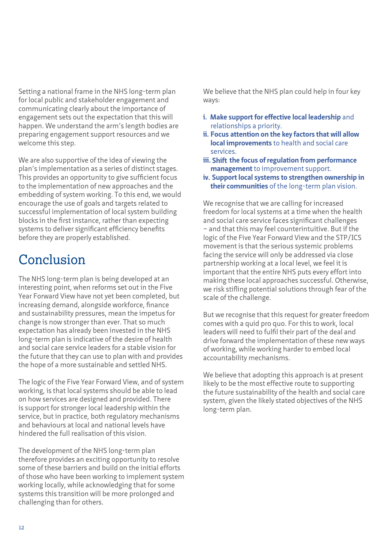Setting a national frame in the NHS long-term plan for local public and stakeholder engagement and communicating clearly about the importance of engagement sets out the expectation that this will happen. We understand the arm's length bodies are preparing engagement support resources and we welcome this step.

We are also supportive of the idea of viewing the plan's implementation as a series of distinct stages. This provides an opportunity to give sufficient focus to the implementation of new approaches and the embedding of system working. To this end, we would encourage the use of goals and targets related to successful implementation of local system building blocks in the first instance, rather than expecting systems to deliver significant efficiency benefits before they are properly established.

# Conclusion

The NHS long-term plan is being developed at an interesting point, when reforms set out in the Five Year Forward View have not yet been completed, but increasing demand, alongside workforce, finance and sustainability pressures, mean the impetus for change is now stronger than ever. That so much expectation has already been invested in the NHS long-term plan is indicative of the desire of health and social care service leaders for a stable vision for the future that they can use to plan with and provides the hope of a more sustainable and settled NHS.

The logic of the Five Year Forward View, and of system working, is that local systems should be able to lead on how services are designed and provided. There is support for stronger local leadership within the service, but in practice, both regulatory mechanisms and behaviours at local and national levels have hindered the full realisation of this vision.

The development of the NHS long-term plan therefore provides an exciting opportunity to resolve some of these barriers and build on the initial efforts of those who have been working to implement system working locally, while acknowledging that for some systems this transition will be more prolonged and challenging than for others.

We believe that the NHS plan could help in four key ways:

- **i. Make support for effective local leadership** and relationships a priority.
- **ii. Focus attention on the key factors that will allow local improvements** to health and social care services.
- **iii. the focus of regulation from performance Shift management** to improvement support.
- **iv. Support local systems to strengthen ownership in their communities** of the long-term plan vision.

We recognise that we are calling for increased freedom for local systems at a time when the health and social care service faces significant challenges – and that this may feel counterintuitive. But if the logic of the Five Year Forward View and the STP/ICS movement is that the serious systemic problems facing the service will only be addressed via close partnership working at a local level, we feel it is important that the entire NHS puts every effort into making these local approaches successful. Otherwise, we risk stifling potential solutions through fear of the scale of the challenge.

But we recognise that this request for greater freedom comes with a quid pro quo. For this to work, local leaders will need to fulfil their part of the deal and drive forward the implementation of these new ways of working, while working harder to embed local accountability mechanisms.

We believe that adopting this approach is at present likely to be the most effective route to supporting the future sustainability of the health and social care system, given the likely stated objectives of the NHS long-term plan.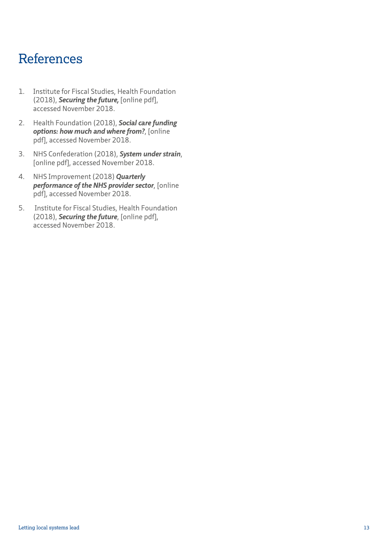## References

- 1. Institute for Fiscal Studies, Health Foundation (2018), *[Securing the future](https://www.ifs.org.uk/publications/12994),* [online pdf], accessed November 2018.
- 2. Health Foundation (2018), *[Social care funding](http://reader.health.org.uk/social-care-funding-options) [options: how much and where from?](http://reader.health.org.uk/social-care-funding-options)*, [online pdf], accessed November 2018.
- 3. NHS Confederation (2018), *[System under strain](https://www.nhsconfed.org/resources/2018/06/system-under-strain
)*, [online pdf], accessed November 2018.
- 4. NHS Improvement (2018) *[Quarterly](https://improvement.nhs.uk/resources/quarterly-performance-nhs-provider-sector-quarter-1-201819/
) [performance of the NHS provider sector](https://improvement.nhs.uk/resources/quarterly-performance-nhs-provider-sector-quarter-1-201819/
)*, [online pdf], accessed November 2018.
- 5. Institute for Fiscal Studies, Health Foundation (2018), *[Securing the future](https://www.ifs.org.uk/publications/12994)*, [online pdf], accessed November 2018.